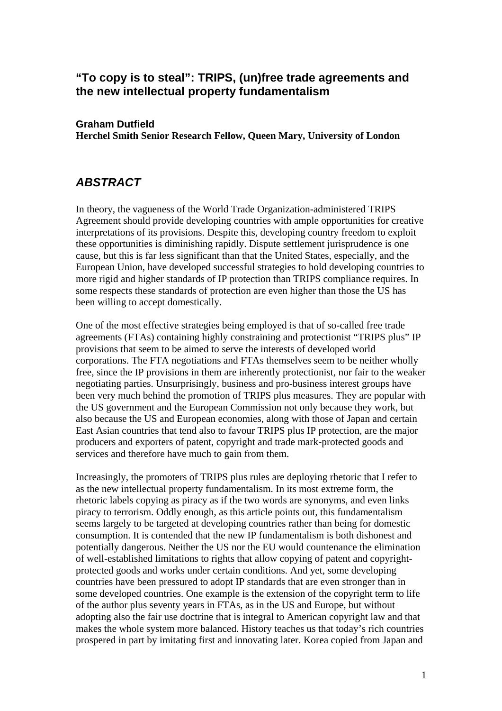# **"To copy is to steal": TRIPS, (un)free trade agreements and the new intellectual property fundamentalism**

### **Graham Dutfield Herchel Smith Senior Research Fellow, Queen Mary, University of London**

# *ABSTRACT*

In theory, the vagueness of the World Trade Organization-administered TRIPS Agreement should provide developing countries with ample opportunities for creative interpretations of its provisions. Despite this, developing country freedom to exploit these opportunities is diminishing rapidly. Dispute settlement jurisprudence is one cause, but this is far less significant than that the United States, especially, and the European Union, have developed successful strategies to hold developing countries to more rigid and higher standards of IP protection than TRIPS compliance requires. In some respects these standards of protection are even higher than those the US has been willing to accept domestically.

One of the most effective strategies being employed is that of so-called free trade agreements (FTAs) containing highly constraining and protectionist "TRIPS plus" IP provisions that seem to be aimed to serve the interests of developed world corporations. The FTA negotiations and FTAs themselves seem to be neither wholly free, since the IP provisions in them are inherently protectionist, nor fair to the weaker negotiating parties. Unsurprisingly, business and pro-business interest groups have been very much behind the promotion of TRIPS plus measures. They are popular with the US government and the European Commission not only because they work, but also because the US and European economies, along with those of Japan and certain East Asian countries that tend also to favour TRIPS plus IP protection, are the major producers and exporters of patent, copyright and trade mark-protected goods and services and therefore have much to gain from them.

Increasingly, the promoters of TRIPS plus rules are deploying rhetoric that I refer to as the new intellectual property fundamentalism. In its most extreme form, the rhetoric labels copying as piracy as if the two words are synonyms, and even links piracy to terrorism. Oddly enough, as this article points out, this fundamentalism seems largely to be targeted at developing countries rather than being for domestic consumption. It is contended that the new IP fundamentalism is both dishonest and potentially dangerous. Neither the US nor the EU would countenance the elimination of well-established limitations to rights that allow copying of patent and copyrightprotected goods and works under certain conditions. And yet, some developing countries have been pressured to adopt IP standards that are even stronger than in some developed countries. One example is the extension of the copyright term to life of the author plus seventy years in FTAs, as in the US and Europe, but without adopting also the fair use doctrine that is integral to American copyright law and that makes the whole system more balanced. History teaches us that today's rich countries prospered in part by imitating first and innovating later. Korea copied from Japan and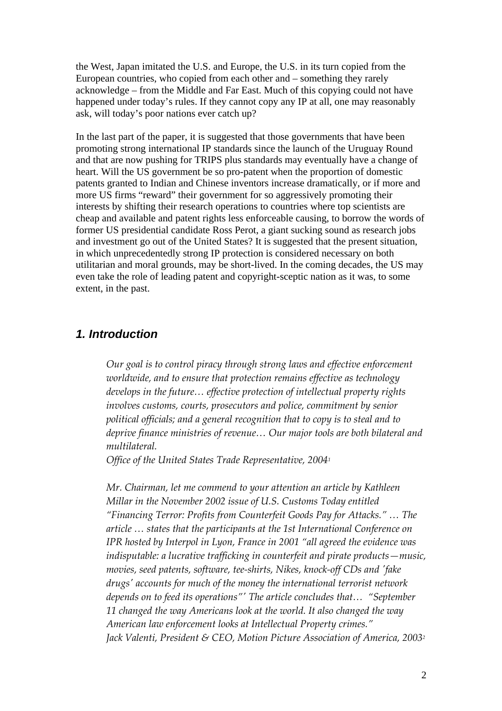the West, Japan imitated the U.S. and Europe, the U.S. in its turn copied from the European countries, who copied from each other and – something they rarely acknowledge – from the Middle and Far East. Much of this copying could not have happened under today's rules. If they cannot copy any IP at all, one may reasonably ask, will today's poor nations ever catch up?

In the last part of the paper, it is suggested that those governments that have been promoting strong international IP standards since the launch of the Uruguay Round and that are now pushing for TRIPS plus standards may eventually have a change of heart. Will the US government be so pro-patent when the proportion of domestic patents granted to Indian and Chinese inventors increase dramatically, or if more and more US firms "reward" their government for so aggressively promoting their interests by shifting their research operations to countries where top scientists are cheap and available and patent rights less enforceable causing, to borrow the words of former US presidential candidate Ross Perot, a giant sucking sound as research jobs and investment go out of the United States? It is suggested that the present situation, in which unprecedentedly strong IP protection is considered necessary on both utilitarian and moral grounds, may be short-lived. In the coming decades, the US may even take the role of leading patent and copyright-sceptic nation as it was, to some extent, in the past.

### *1. Introduction*

*Our goal is to control piracy through strong laws and effective enforcement worldwide, and to ensure that protection remains effective as technology develops in the future… effective protection of intellectual property rights involves customs, courts, prosecutors and police, commitment by senior political officials; and a general recognition that to copy is to steal and to deprive finance ministries of revenue… Our major tools are both bilateral and multilateral.*

*Office of the United States Trade Representative, 20041*

*Mr. Chairman, let me commend to your attention an article by Kathleen Millar in the November 2002 issue of U.S. Customs Today entitled "Financing Terror: Profits from Counterfeit Goods Pay for Attacks." … The article … states that the participants at the 1st International Conference on IPR hosted by Interpol in Lyon, France in 2001 "all agreed the evidence was indisputable: a lucrative trafficking in counterfeit and pirate products—music, movies, seed patents, software, tee‐shirts, Nikes, knock‐off CDs and ʹfake drugsʹ accounts for much of the money the international terrorist network depends on to feed its operations"ʹ The article concludes that… "September 11 changed the way Americans look at the world. It also changed the way American law enforcement looks at Intellectual Property crimes." Jack Valenti, President & CEO, Motion Picture Association of America, 20032*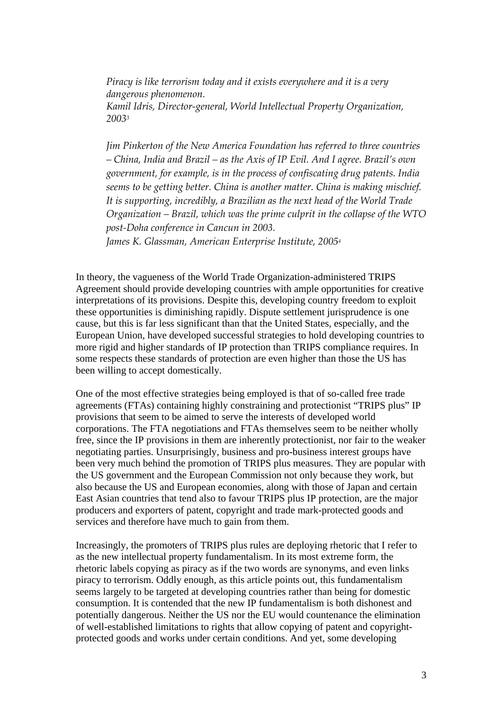*Piracy is like terrorism today and it exists everywhere and it is a very dangerous phenomenon. Kamil Idris, Director-general, World Intellectual Property Organization, 20033*

*Jim Pinkerton of the New America Foundation has referred to three countries – China, India and Brazil – as the Axis of IP Evil. And I agree. Brazil's own government, for example, is in the process of confiscating drug patents. India seems to be getting better. China is another matter. China is making mischief. It is supporting, incredibly, a Brazilian as the next head of the World Trade Organization – Brazil, which was the prime culprit in the collapse of the WTO post‐Doha conference in Cancun in 2003.*

*James K. Glassman, American Enterprise Institute, 20054*

In theory, the vagueness of the World Trade Organization-administered TRIPS Agreement should provide developing countries with ample opportunities for creative interpretations of its provisions. Despite this, developing country freedom to exploit these opportunities is diminishing rapidly. Dispute settlement jurisprudence is one cause, but this is far less significant than that the United States, especially, and the European Union, have developed successful strategies to hold developing countries to more rigid and higher standards of IP protection than TRIPS compliance requires. In some respects these standards of protection are even higher than those the US has been willing to accept domestically.

One of the most effective strategies being employed is that of so-called free trade agreements (FTAs) containing highly constraining and protectionist "TRIPS plus" IP provisions that seem to be aimed to serve the interests of developed world corporations. The FTA negotiations and FTAs themselves seem to be neither wholly free, since the IP provisions in them are inherently protectionist, nor fair to the weaker negotiating parties. Unsurprisingly, business and pro-business interest groups have been very much behind the promotion of TRIPS plus measures. They are popular with the US government and the European Commission not only because they work, but also because the US and European economies, along with those of Japan and certain East Asian countries that tend also to favour TRIPS plus IP protection, are the major producers and exporters of patent, copyright and trade mark-protected goods and services and therefore have much to gain from them.

Increasingly, the promoters of TRIPS plus rules are deploying rhetoric that I refer to as the new intellectual property fundamentalism. In its most extreme form, the rhetoric labels copying as piracy as if the two words are synonyms, and even links piracy to terrorism. Oddly enough, as this article points out, this fundamentalism seems largely to be targeted at developing countries rather than being for domestic consumption. It is contended that the new IP fundamentalism is both dishonest and potentially dangerous. Neither the US nor the EU would countenance the elimination of well-established limitations to rights that allow copying of patent and copyrightprotected goods and works under certain conditions. And yet, some developing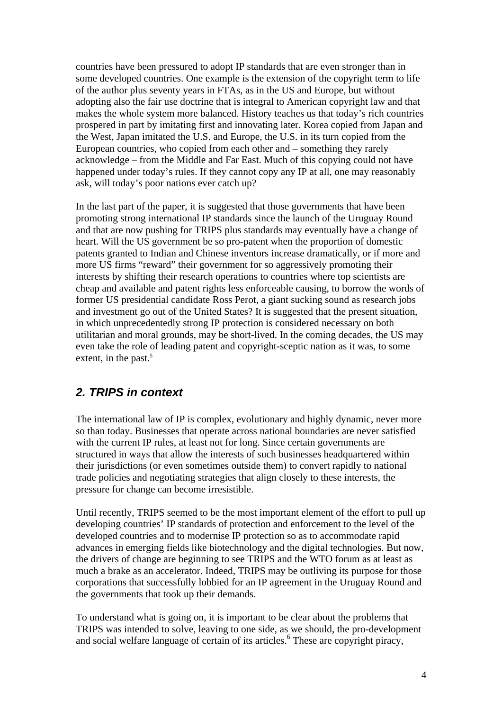countries have been pressured to adopt IP standards that are even stronger than in some developed countries. One example is the extension of the copyright term to life of the author plus seventy years in FTAs, as in the US and Europe, but without adopting also the fair use doctrine that is integral to American copyright law and that makes the whole system more balanced. History teaches us that today's rich countries prospered in part by imitating first and innovating later. Korea copied from Japan and the West, Japan imitated the U.S. and Europe, the U.S. in its turn copied from the European countries, who copied from each other and – something they rarely acknowledge – from the Middle and Far East. Much of this copying could not have happened under today's rules. If they cannot copy any IP at all, one may reasonably ask, will today's poor nations ever catch up?

In the last part of the paper, it is suggested that those governments that have been promoting strong international IP standards since the launch of the Uruguay Round and that are now pushing for TRIPS plus standards may eventually have a change of heart. Will the US government be so pro-patent when the proportion of domestic patents granted to Indian and Chinese inventors increase dramatically, or if more and more US firms "reward" their government for so aggressively promoting their interests by shifting their research operations to countries where top scientists are cheap and available and patent rights less enforceable causing, to borrow the words of former US presidential candidate Ross Perot, a giant sucking sound as research jobs and investment go out of the United States? It is suggested that the present situation, in which unprecedentedly strong IP protection is considered necessary on both utilitarian and moral grounds, may be short-lived. In the coming decades, the US may even take the role of leading patent and copyright-sceptic nation as it was, to some extent, in the past. $5$ 

### *2. TRIPS in context*

The international law of IP is complex, evolutionary and highly dynamic, never more so than today. Businesses that operate across national boundaries are never satisfied with the current IP rules, at least not for long. Since certain governments are structured in ways that allow the interests of such businesses headquartered within their jurisdictions (or even sometimes outside them) to convert rapidly to national trade policies and negotiating strategies that align closely to these interests, the pressure for change can become irresistible.

Until recently, TRIPS seemed to be the most important element of the effort to pull up developing countries' IP standards of protection and enforcement to the level of the developed countries and to modernise IP protection so as to accommodate rapid advances in emerging fields like biotechnology and the digital technologies. But now, the drivers of change are beginning to see TRIPS and the WTO forum as at least as much a brake as an accelerator. Indeed, TRIPS may be outliving its purpose for those corporations that successfully lobbied for an IP agreement in the Uruguay Round and the governments that took up their demands.

To understand what is going on, it is important to be clear about the problems that TRIPS was intended to solve, leaving to one side, as we should, the pro-development and social welfare language of certain of its articles.<sup>6</sup> These are copyright piracy,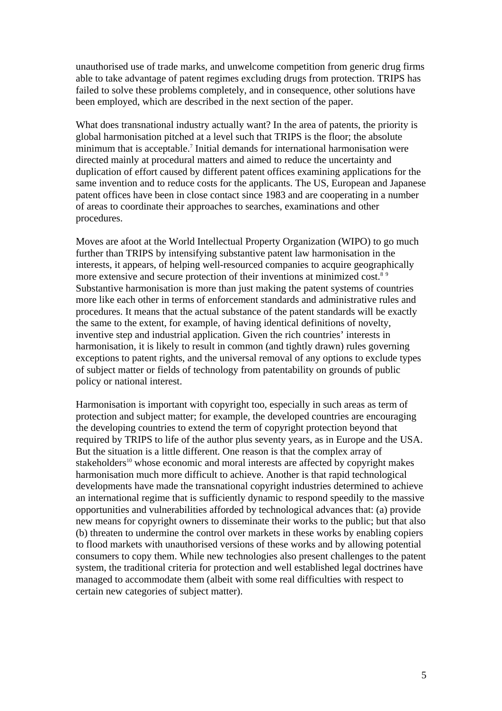unauthorised use of trade marks, and unwelcome competition from generic drug firms able to take advantage of patent regimes excluding drugs from protection. TRIPS has failed to solve these problems completely, and in consequence, other solutions have been employed, which are described in the next section of the paper.

What does transnational industry actually want? In the area of patents, the priority is global harmonisation pitched at a level such that TRIPS is the floor; the absolute minimum that is acceptable.<sup>7</sup> Initial demands for international harmonisation were directed mainly at procedural matters and aimed to reduce the uncertainty and duplication of effort caused by different patent offices examining applications for the same invention and to reduce costs for the applicants. The US, European and Japanese patent offices have been in close contact since 1983 and are cooperating in a number of areas to coordinate their approaches to searches, examinations and other procedures.

Moves are afoot at the World Intellectual Property Organization (WIPO) to go much further than TRIPS by intensifying substantive patent law harmonisation in the interests, it appears, of helping well-resourced companies to acquire geographically more extensive and secure protection of their inventions at minimized cost.<sup>8,9</sup> Substantive harmonisation is more than just making the patent systems of countries more like each other in terms of enforcement standards and administrative rules and procedures. It means that the actual substance of the patent standards will be exactly the same to the extent, for example, of having identical definitions of novelty, inventive step and industrial application. Given the rich countries' interests in harmonisation, it is likely to result in common (and tightly drawn) rules governing exceptions to patent rights, and the universal removal of any options to exclude types of subject matter or fields of technology from patentability on grounds of public policy or national interest.

Harmonisation is important with copyright too, especially in such areas as term of protection and subject matter; for example, the developed countries are encouraging the developing countries to extend the term of copyright protection beyond that required by TRIPS to life of the author plus seventy years, as in Europe and the USA. But the situation is a little different. One reason is that the complex array of stakeholders<sup>10</sup> whose economic and moral interests are affected by copyright makes harmonisation much more difficult to achieve. Another is that rapid technological developments have made the transnational copyright industries determined to achieve an international regime that is sufficiently dynamic to respond speedily to the massive opportunities and vulnerabilities afforded by technological advances that: (a) provide new means for copyright owners to disseminate their works to the public; but that also (b) threaten to undermine the control over markets in these works by enabling copiers to flood markets with unauthorised versions of these works and by allowing potential consumers to copy them. While new technologies also present challenges to the patent system, the traditional criteria for protection and well established legal doctrines have managed to accommodate them (albeit with some real difficulties with respect to certain new categories of subject matter).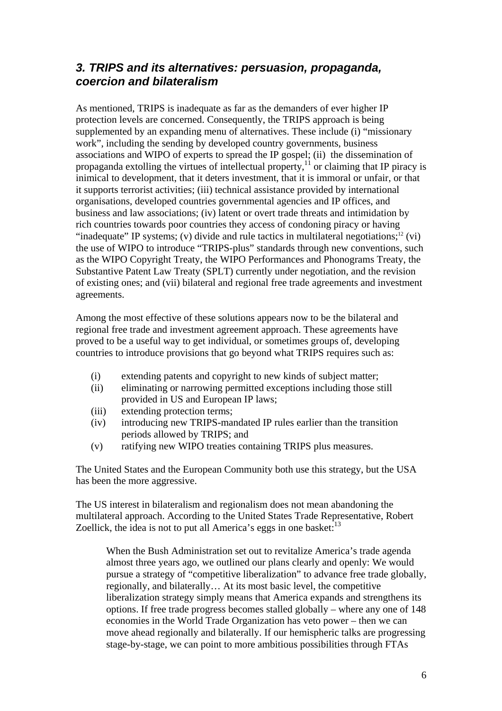# *3. TRIPS and its alternatives: persuasion, propaganda, coercion and bilateralism*

As mentioned, TRIPS is inadequate as far as the demanders of ever higher IP protection levels are concerned. Consequently, the TRIPS approach is being supplemented by an expanding menu of alternatives. These include (i) "missionary work", including the sending by developed country governments, business associations and WIPO of experts to spread the IP gospel; (ii) the dissemination of propaganda extolling the virtues of intellectual property,<sup>11</sup> or claiming that IP piracy is inimical to development, that it deters investment, that it is immoral or unfair, or that it supports terrorist activities; (iii) technical assistance provided by international organisations, developed countries governmental agencies and IP offices, and business and law associations; (iv) latent or overt trade threats and intimidation by rich countries towards poor countries they access of condoning piracy or having "inadequate" IP systems; (v) divide and rule tactics in multilateral negotiations;<sup>12</sup> (vi) the use of WIPO to introduce "TRIPS-plus" standards through new conventions, such as the WIPO Copyright Treaty, the WIPO Performances and Phonograms Treaty, the Substantive Patent Law Treaty (SPLT) currently under negotiation, and the revision of existing ones; and (vii) bilateral and regional free trade agreements and investment agreements.

Among the most effective of these solutions appears now to be the bilateral and regional free trade and investment agreement approach. These agreements have proved to be a useful way to get individual, or sometimes groups of, developing countries to introduce provisions that go beyond what TRIPS requires such as:

- (i) extending patents and copyright to new kinds of subject matter;
- (ii) eliminating or narrowing permitted exceptions including those still provided in US and European IP laws;
- (iii) extending protection terms;
- (iv) introducing new TRIPS-mandated IP rules earlier than the transition periods allowed by TRIPS; and
- (v) ratifying new WIPO treaties containing TRIPS plus measures.

The United States and the European Community both use this strategy, but the USA has been the more aggressive.

The US interest in bilateralism and regionalism does not mean abandoning the multilateral approach. According to the United States Trade Representative, Robert Zoellick, the idea is not to put all America's eggs in one basket: $^{13}$ 

When the Bush Administration set out to revitalize America's trade agenda almost three years ago, we outlined our plans clearly and openly: We would pursue a strategy of "competitive liberalization" to advance free trade globally, regionally, and bilaterally… At its most basic level, the competitive liberalization strategy simply means that America expands and strengthens its options. If free trade progress becomes stalled globally – where any one of 148 economies in the World Trade Organization has veto power – then we can move ahead regionally and bilaterally. If our hemispheric talks are progressing stage-by-stage, we can point to more ambitious possibilities through FTAs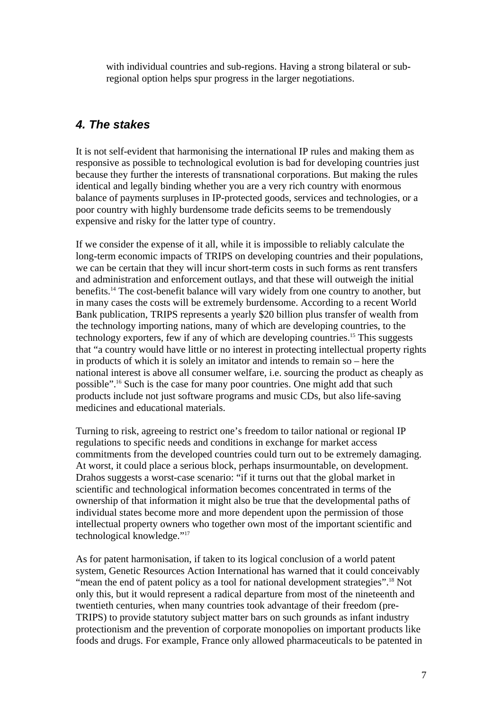with individual countries and sub-regions. Having a strong bilateral or subregional option helps spur progress in the larger negotiations.

### *4. The stakes*

It is not self-evident that harmonising the international IP rules and making them as responsive as possible to technological evolution is bad for developing countries just because they further the interests of transnational corporations. But making the rules identical and legally binding whether you are a very rich country with enormous balance of payments surpluses in IP-protected goods, services and technologies, or a poor country with highly burdensome trade deficits seems to be tremendously expensive and risky for the latter type of country.

If we consider the expense of it all, while it is impossible to reliably calculate the long-term economic impacts of TRIPS on developing countries and their populations, we can be certain that they will incur short-term costs in such forms as rent transfers and administration and enforcement outlays, and that these will outweigh the initial benefits.14 The cost-benefit balance will vary widely from one country to another, but in many cases the costs will be extremely burdensome. According to a recent World Bank publication, TRIPS represents a yearly \$20 billion plus transfer of wealth from the technology importing nations, many of which are developing countries, to the technology exporters, few if any of which are developing countries.15 This suggests that "a country would have little or no interest in protecting intellectual property rights in products of which it is solely an imitator and intends to remain so – here the national interest is above all consumer welfare, i.e. sourcing the product as cheaply as possible".16 Such is the case for many poor countries. One might add that such products include not just software programs and music CDs, but also life-saving medicines and educational materials.

Turning to risk, agreeing to restrict one's freedom to tailor national or regional IP regulations to specific needs and conditions in exchange for market access commitments from the developed countries could turn out to be extremely damaging. At worst, it could place a serious block, perhaps insurmountable, on development. Drahos suggests a worst-case scenario: "if it turns out that the global market in scientific and technological information becomes concentrated in terms of the ownership of that information it might also be true that the developmental paths of individual states become more and more dependent upon the permission of those intellectual property owners who together own most of the important scientific and technological knowledge."17

As for patent harmonisation, if taken to its logical conclusion of a world patent system, Genetic Resources Action International has warned that it could conceivably "mean the end of patent policy as a tool for national development strategies".18 Not only this, but it would represent a radical departure from most of the nineteenth and twentieth centuries, when many countries took advantage of their freedom (pre-TRIPS) to provide statutory subject matter bars on such grounds as infant industry protectionism and the prevention of corporate monopolies on important products like foods and drugs. For example, France only allowed pharmaceuticals to be patented in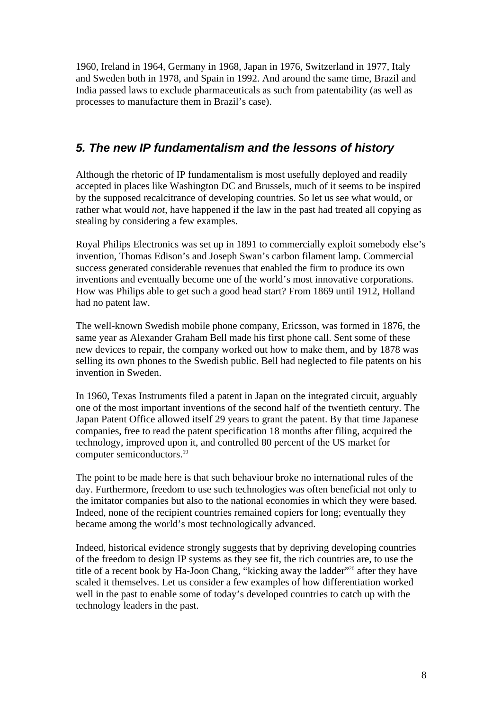1960, Ireland in 1964, Germany in 1968, Japan in 1976, Switzerland in 1977, Italy and Sweden both in 1978, and Spain in 1992. And around the same time, Brazil and India passed laws to exclude pharmaceuticals as such from patentability (as well as processes to manufacture them in Brazil's case).

# *5. The new IP fundamentalism and the lessons of history*

Although the rhetoric of IP fundamentalism is most usefully deployed and readily accepted in places like Washington DC and Brussels, much of it seems to be inspired by the supposed recalcitrance of developing countries. So let us see what would, or rather what would *not*, have happened if the law in the past had treated all copying as stealing by considering a few examples.

Royal Philips Electronics was set up in 1891 to commercially exploit somebody else's invention, Thomas Edison's and Joseph Swan's carbon filament lamp. Commercial success generated considerable revenues that enabled the firm to produce its own inventions and eventually become one of the world's most innovative corporations. How was Philips able to get such a good head start? From 1869 until 1912, Holland had no patent law.

The well-known Swedish mobile phone company, Ericsson, was formed in 1876, the same year as Alexander Graham Bell made his first phone call. Sent some of these new devices to repair, the company worked out how to make them, and by 1878 was selling its own phones to the Swedish public. Bell had neglected to file patents on his invention in Sweden.

In 1960, Texas Instruments filed a patent in Japan on the integrated circuit, arguably one of the most important inventions of the second half of the twentieth century. The Japan Patent Office allowed itself 29 years to grant the patent. By that time Japanese companies, free to read the patent specification 18 months after filing, acquired the technology, improved upon it, and controlled 80 percent of the US market for computer semiconductors.<sup>19</sup>

The point to be made here is that such behaviour broke no international rules of the day. Furthermore, freedom to use such technologies was often beneficial not only to the imitator companies but also to the national economies in which they were based. Indeed, none of the recipient countries remained copiers for long; eventually they became among the world's most technologically advanced.

Indeed, historical evidence strongly suggests that by depriving developing countries of the freedom to design IP systems as they see fit, the rich countries are, to use the title of a recent book by Ha-Joon Chang, "kicking away the ladder"<sup>20</sup> after they have scaled it themselves. Let us consider a few examples of how differentiation worked well in the past to enable some of today's developed countries to catch up with the technology leaders in the past.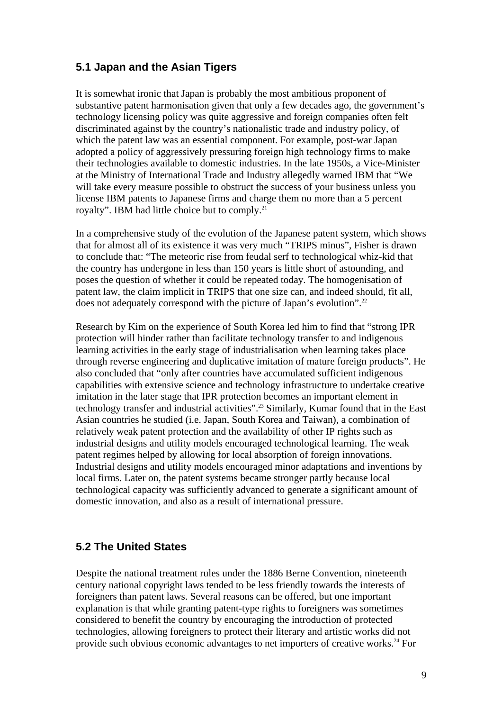### **5.1 Japan and the Asian Tigers**

It is somewhat ironic that Japan is probably the most ambitious proponent of substantive patent harmonisation given that only a few decades ago, the government's technology licensing policy was quite aggressive and foreign companies often felt discriminated against by the country's nationalistic trade and industry policy, of which the patent law was an essential component. For example, post-war Japan adopted a policy of aggressively pressuring foreign high technology firms to make their technologies available to domestic industries. In the late 1950s, a Vice-Minister at the Ministry of International Trade and Industry allegedly warned IBM that "We will take every measure possible to obstruct the success of your business unless you license IBM patents to Japanese firms and charge them no more than a 5 percent royalty". IBM had little choice but to comply.<sup>21</sup>

In a comprehensive study of the evolution of the Japanese patent system, which shows that for almost all of its existence it was very much "TRIPS minus", Fisher is drawn to conclude that: "The meteoric rise from feudal serf to technological whiz-kid that the country has undergone in less than 150 years is little short of astounding, and poses the question of whether it could be repeated today. The homogenisation of patent law, the claim implicit in TRIPS that one size can, and indeed should, fit all, does not adequately correspond with the picture of Japan's evolution".<sup>22</sup>

Research by Kim on the experience of South Korea led him to find that "strong IPR protection will hinder rather than facilitate technology transfer to and indigenous learning activities in the early stage of industrialisation when learning takes place through reverse engineering and duplicative imitation of mature foreign products". He also concluded that "only after countries have accumulated sufficient indigenous capabilities with extensive science and technology infrastructure to undertake creative imitation in the later stage that IPR protection becomes an important element in technology transfer and industrial activities".<sup>23</sup> Similarly, Kumar found that in the East Asian countries he studied (i.e. Japan, South Korea and Taiwan), a combination of relatively weak patent protection and the availability of other IP rights such as industrial designs and utility models encouraged technological learning. The weak patent regimes helped by allowing for local absorption of foreign innovations. Industrial designs and utility models encouraged minor adaptations and inventions by local firms. Later on, the patent systems became stronger partly because local technological capacity was sufficiently advanced to generate a significant amount of domestic innovation, and also as a result of international pressure.

#### **5.2 The United States**

Despite the national treatment rules under the 1886 Berne Convention, nineteenth century national copyright laws tended to be less friendly towards the interests of foreigners than patent laws. Several reasons can be offered, but one important explanation is that while granting patent-type rights to foreigners was sometimes considered to benefit the country by encouraging the introduction of protected technologies, allowing foreigners to protect their literary and artistic works did not provide such obvious economic advantages to net importers of creative works.24 For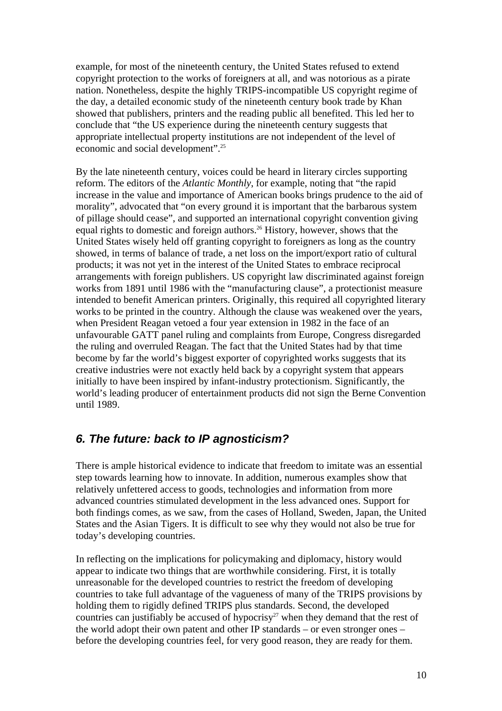example, for most of the nineteenth century, the United States refused to extend copyright protection to the works of foreigners at all, and was notorious as a pirate nation. Nonetheless, despite the highly TRIPS-incompatible US copyright regime of the day, a detailed economic study of the nineteenth century book trade by Khan showed that publishers, printers and the reading public all benefited. This led her to conclude that "the US experience during the nineteenth century suggests that appropriate intellectual property institutions are not independent of the level of economic and social development".25

By the late nineteenth century, voices could be heard in literary circles supporting reform. The editors of the *Atlantic Monthly*, for example, noting that "the rapid increase in the value and importance of American books brings prudence to the aid of morality", advocated that "on every ground it is important that the barbarous system of pillage should cease", and supported an international copyright convention giving equal rights to domestic and foreign authors.26 History, however, shows that the United States wisely held off granting copyright to foreigners as long as the country showed, in terms of balance of trade, a net loss on the import/export ratio of cultural products; it was not yet in the interest of the United States to embrace reciprocal arrangements with foreign publishers. US copyright law discriminated against foreign works from 1891 until 1986 with the "manufacturing clause", a protectionist measure intended to benefit American printers. Originally, this required all copyrighted literary works to be printed in the country. Although the clause was weakened over the years, when President Reagan vetoed a four year extension in 1982 in the face of an unfavourable GATT panel ruling and complaints from Europe, Congress disregarded the ruling and overruled Reagan. The fact that the United States had by that time become by far the world's biggest exporter of copyrighted works suggests that its creative industries were not exactly held back by a copyright system that appears initially to have been inspired by infant-industry protectionism. Significantly, the world's leading producer of entertainment products did not sign the Berne Convention until 1989.

# *6. The future: back to IP agnosticism?*

There is ample historical evidence to indicate that freedom to imitate was an essential step towards learning how to innovate. In addition, numerous examples show that relatively unfettered access to goods, technologies and information from more advanced countries stimulated development in the less advanced ones. Support for both findings comes, as we saw, from the cases of Holland, Sweden, Japan, the United States and the Asian Tigers. It is difficult to see why they would not also be true for today's developing countries.

In reflecting on the implications for policymaking and diplomacy, history would appear to indicate two things that are worthwhile considering. First, it is totally unreasonable for the developed countries to restrict the freedom of developing countries to take full advantage of the vagueness of many of the TRIPS provisions by holding them to rigidly defined TRIPS plus standards. Second, the developed countries can justifiably be accused of hypocrisy<sup>27</sup> when they demand that the rest of the world adopt their own patent and other IP standards – or even stronger ones – before the developing countries feel, for very good reason, they are ready for them.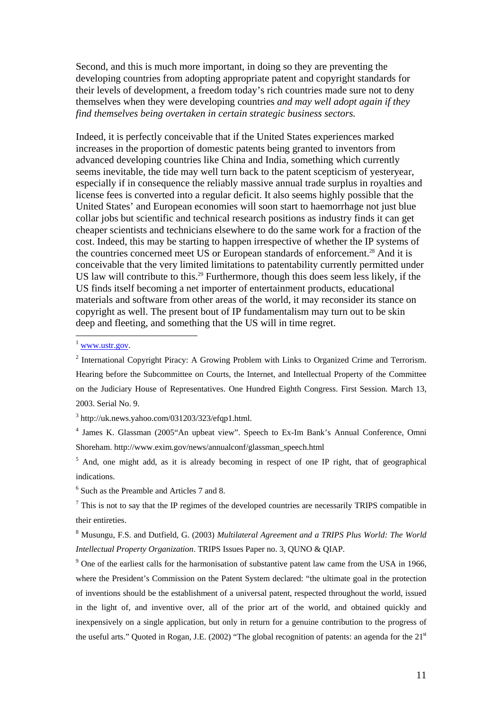Second, and this is much more important, in doing so they are preventing the developing countries from adopting appropriate patent and copyright standards for their levels of development, a freedom today's rich countries made sure not to deny themselves when they were developing countries *and may well adopt again if they find themselves being overtaken in certain strategic business sectors.* 

Indeed, it is perfectly conceivable that if the United States experiences marked increases in the proportion of domestic patents being granted to inventors from advanced developing countries like China and India, something which currently seems inevitable, the tide may well turn back to the patent scepticism of yesteryear, especially if in consequence the reliably massive annual trade surplus in royalties and license fees is converted into a regular deficit. It also seems highly possible that the United States' and European economies will soon start to haemorrhage not just blue collar jobs but scientific and technical research positions as industry finds it can get cheaper scientists and technicians elsewhere to do the same work for a fraction of the cost. Indeed, this may be starting to happen irrespective of whether the IP systems of the countries concerned meet US or European standards of enforcement.<sup>28</sup> And it is conceivable that the very limited limitations to patentability currently permitted under US law will contribute to this.<sup>29</sup> Furthermore, though this does seem less likely, if the US finds itself becoming a net importer of entertainment products, educational materials and software from other areas of the world, it may reconsider its stance on copyright as well. The present bout of IP fundamentalism may turn out to be skin deep and fleeting, and something that the US will in time regret.

 $\overline{a}$ 

 $2$  International Copyright Piracy: A Growing Problem with Links to Organized Crime and Terrorism. Hearing before the Subcommittee on Courts, the Internet, and Intellectual Property of the Committee on the Judiciary House of Representatives. One Hundred Eighth Congress. First Session. March 13, 2003. Serial No. 9.

3 http://uk.news.yahoo.com/031203/323/efqp1.html.

<sup>4</sup> James K. Glassman (2005"An upbeat view". Speech to Ex-Im Bank's Annual Conference, Omni Shoreham. http://www.exim.gov/news/annualconf/glassman\_speech.html

<sup>5</sup> And, one might add, as it is already becoming in respect of one IP right, that of geographical indications.

6 Such as the Preamble and Articles 7 and 8.

 $<sup>7</sup>$  This is not to say that the IP regimes of the developed countries are necessarily TRIPS compatible in</sup> their entireties.

8 Musungu, F.S. and Dutfield, G. (2003) *Multilateral Agreement and a TRIPS Plus World: The World Intellectual Property Organization*. TRIPS Issues Paper no. 3, QUNO & QIAP.

<sup>9</sup> One of the earliest calls for the harmonisation of substantive patent law came from the USA in 1966, where the President's Commission on the Patent System declared: "the ultimate goal in the protection of inventions should be the establishment of a universal patent, respected throughout the world, issued in the light of, and inventive over, all of the prior art of the world, and obtained quickly and inexpensively on a single application, but only in return for a genuine contribution to the progress of the useful arts." Quoted in Rogan, J.E. (2002) "The global recognition of patents: an agenda for the 21st

 $\frac{1}{2}$  www.ustr.gov.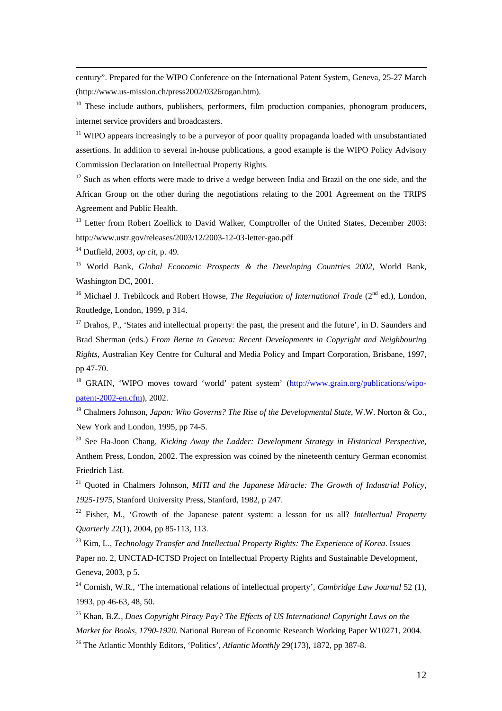century". Prepared for the WIPO Conference on the International Patent System, Geneva, 25-27 March (http://www.us-mission.ch/press2002/0326rogan.htm).

 $10$  These include authors, publishers, performers, film production companies, phonogram producers, internet service providers and broadcasters.

 $11$  WIPO appears increasingly to be a purveyor of poor quality propaganda loaded with unsubstantiated assertions. In addition to several in-house publications, a good example is the WIPO Policy Advisory Commission Declaration on Intellectual Property Rights.

<sup>12</sup> Such as when efforts were made to drive a wedge between India and Brazil on the one side, and the African Group on the other during the negotiations relating to the 2001 Agreement on the TRIPS Agreement and Public Health.

<sup>13</sup> Letter from Robert Zoellick to David Walker, Comptroller of the United States, December 2003: http://www.ustr.gov/releases/2003/12/2003-12-03-letter-gao.pdf

14 Dutfield, 2003, *op cit*, p. 49.

15 World Bank, *Global Economic Prospects & the Developing Countries 2002*, World Bank, Washington DC, 2001.

<sup>16</sup> Michael J. Trebilcock and Robert Howse, *The Regulation of International Trade* (2<sup>nd</sup> ed.), London, Routledge, London, 1999, p 314.

 $17$  Drahos, P., 'States and intellectual property: the past, the present and the future', in D. Saunders and Brad Sherman (eds.) *From Berne to Geneva: Recent Developments in Copyright and Neighbouring Rights*, Australian Key Centre for Cultural and Media Policy and Impart Corporation, Brisbane, 1997, pp 47-70.

<sup>18</sup> GRAIN, 'WIPO moves toward 'world' patent system' (http://www.grain.org/publications/wipopatent-2002-en.cfm), 2002.

19 Chalmers Johnson, *Japan: Who Governs? The Rise of the Developmental State*, W.W. Norton & Co., New York and London, 1995, pp 74-5.

20 See Ha-Joon Chang, *Kicking Away the Ladder: Development Strategy in Historical Perspective*, Anthem Press, London, 2002. The expression was coined by the nineteenth century German economist Friedrich List.

<sup>21</sup> Quoted in Chalmers Johnson, *MITI and the Japanese Miracle: The Growth of Industrial Policy, 1925-1975*, Stanford University Press, Stanford, 1982, p 247.

22 Fisher, M., 'Growth of the Japanese patent system: a lesson for us all? *Intellectual Property Quarterly* 22(1), 2004, pp 85-113, 113.

23 Kim, L., *Technology Transfer and Intellectual Property Rights: The Experience of Korea*. Issues Paper no. 2, UNCTAD-ICTSD Project on Intellectual Property Rights and Sustainable Development, Geneva, 2003, p 5.

24 Cornish, W.R., 'The international relations of intellectual property', *Cambridge Law Journal* 52 (1), 1993, pp 46-63, 48, 50.

25 Khan, B.Z., *Does Copyright Piracy Pay? The Effects of US International Copyright Laws on the Market for Books, 1790-1920*. National Bureau of Economic Research Working Paper W10271, 2004. 26 The Atlantic Monthly Editors, 'Politics', *Atlantic Monthly* 29(173), 1872, pp 387-8.